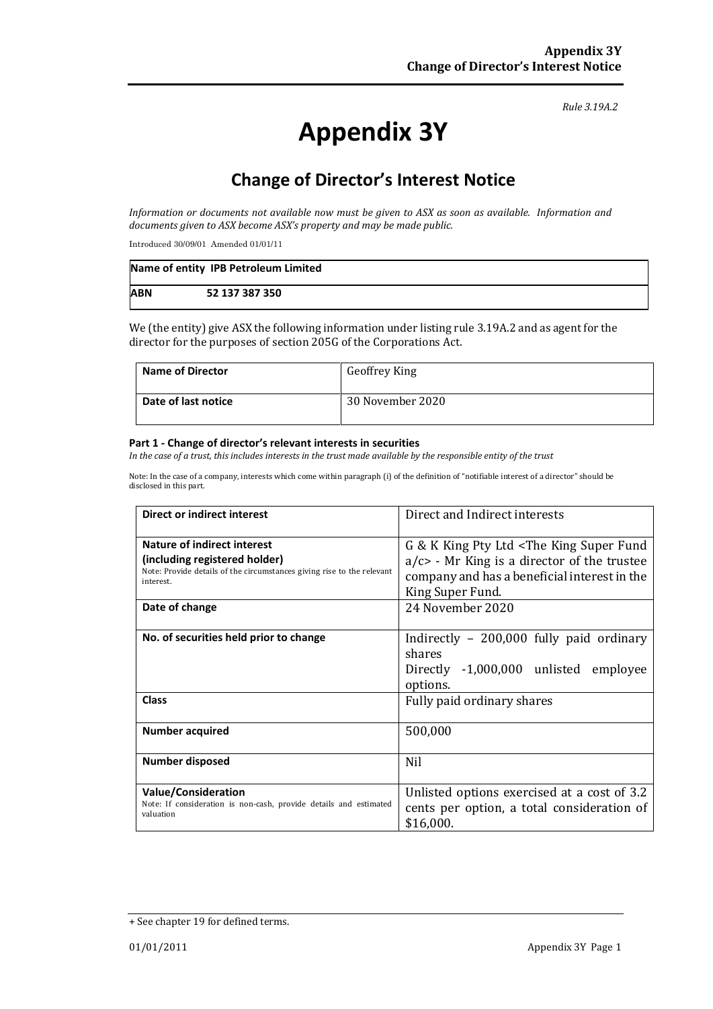#### *Rule 3.19A.2*

# **Appendix 3Y**

# **Change of Director's Interest Notice**

*Information or documents not available now must be given to ASX as soon as available. Information and documents given to ASX become ASX's property and may be made public.*

Introduced 30/09/01 Amended 01/01/11

|            | Name of entity IPB Petroleum Limited |
|------------|--------------------------------------|
| <b>ABN</b> | 52 137 387 350                       |

We (the entity) give ASX the following information under listing rule 3.19A.2 and as agent for the director for the purposes of section 205G of the Corporations Act.

| Name of Director    | <b>Geoffrey King</b> |
|---------------------|----------------------|
| Date of last notice | 30 November 2020     |

#### **Part 1 - Change of director's relevant interests in securities**

*In the case of a trust, this includes interests in the trust made available by the responsible entity of the trust*

Note: In the case of a company, interests which come within paragraph (i) of the definition of "notifiable interest of a director" should be disclosed in this part.

| <b>Direct or indirect interest</b>                                                                                                                                    | Direct and Indirect interests                                                                                                                                                    |  |
|-----------------------------------------------------------------------------------------------------------------------------------------------------------------------|----------------------------------------------------------------------------------------------------------------------------------------------------------------------------------|--|
| Nature of indirect interest<br>(including registered holder)<br>Note: Provide details of the circumstances giving rise to the relevant<br>interest.<br>Date of change | G & K King Pty Ltd < The King Super Fund<br>$a/c$ - Mr King is a director of the trustee<br>company and has a beneficial interest in the<br>King Super Fund.<br>24 November 2020 |  |
| No. of securities held prior to change                                                                                                                                | Indirectly $-200,000$ fully paid ordinary<br>shares<br>Directly -1,000,000 unlisted employee<br>options.                                                                         |  |
| Class                                                                                                                                                                 | Fully paid ordinary shares                                                                                                                                                       |  |
| <b>Number acquired</b>                                                                                                                                                | 500,000                                                                                                                                                                          |  |
| Number disposed                                                                                                                                                       | <b>Nil</b>                                                                                                                                                                       |  |
| <b>Value/Consideration</b><br>Note: If consideration is non-cash, provide details and estimated<br>valuation                                                          | Unlisted options exercised at a cost of 3.2<br>cents per option, a total consideration of<br>\$16,000.                                                                           |  |

<sup>+</sup> See chapter 19 for defined terms.